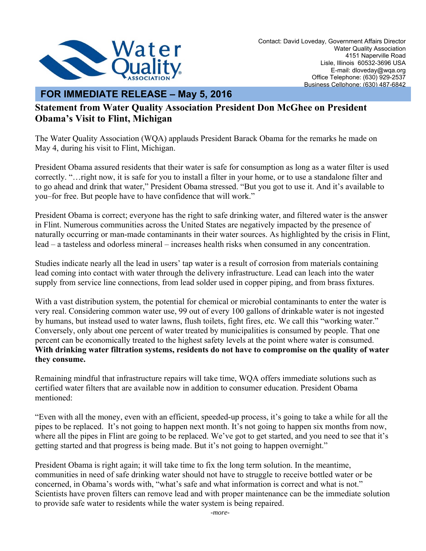

## **FOR IMMEDIATE RELEASE – May 5, 2016**

## **Statement from Water Quality Association President Don McGhee on President Obama's Visit to Flint, Michigan**

The Water Quality Association (WQA) applauds President Barack Obama for the remarks he made on May 4, during his visit to Flint, Michigan.

President Obama assured residents that their water is safe for consumption as long as a water filter is used correctly. "…right now, it is safe for you to install a filter in your home, or to use a standalone filter and to go ahead and drink that water," President Obama stressed. "But you got to use it. And it's available to you–for free. But people have to have confidence that will work."

President Obama is correct; everyone has the right to safe drinking water, and filtered water is the answer in Flint. Numerous communities across the United States are negatively impacted by the presence of naturally occurring or man-made contaminants in their water sources. As highlighted by the crisis in Flint, lead – a tasteless and odorless mineral – increases health risks when consumed in any concentration.

Studies indicate nearly all the lead in users' tap water is a result of corrosion from materials containing lead coming into contact with water through the delivery infrastructure. Lead can leach into the water supply from service line connections, from lead solder used in copper piping, and from brass fixtures.

With a vast distribution system, the potential for chemical or microbial contaminants to enter the water is very real. Considering common water use, 99 out of every 100 gallons of drinkable water is not ingested by humans, but instead used to water lawns, flush toilets, fight fires, etc. We call this "working water." Conversely, only about one percent of water treated by municipalities is consumed by people. That one percent can be economically treated to the highest safety levels at the point where water is consumed. **With drinking water filtration systems, residents do not have to compromise on the quality of water they consume.**

Remaining mindful that infrastructure repairs will take time, WQA offers immediate solutions such as certified water filters that are available now in addition to consumer education. President Obama mentioned:

"Even with all the money, even with an efficient, speeded-up process, it's going to take a while for all the pipes to be replaced. It's not going to happen next month. It's not going to happen six months from now, where all the pipes in Flint are going to be replaced. We've got to get started, and you need to see that it's getting started and that progress is being made. But it's not going to happen overnight."

President Obama is right again; it will take time to fix the long term solution. In the meantime, communities in need of safe drinking water should not have to struggle to receive bottled water or be concerned, in Obama's words with, "what's safe and what information is correct and what is not." Scientists have proven filters can remove lead and with proper maintenance can be the immediate solution to provide safe water to residents while the water system is being repaired.